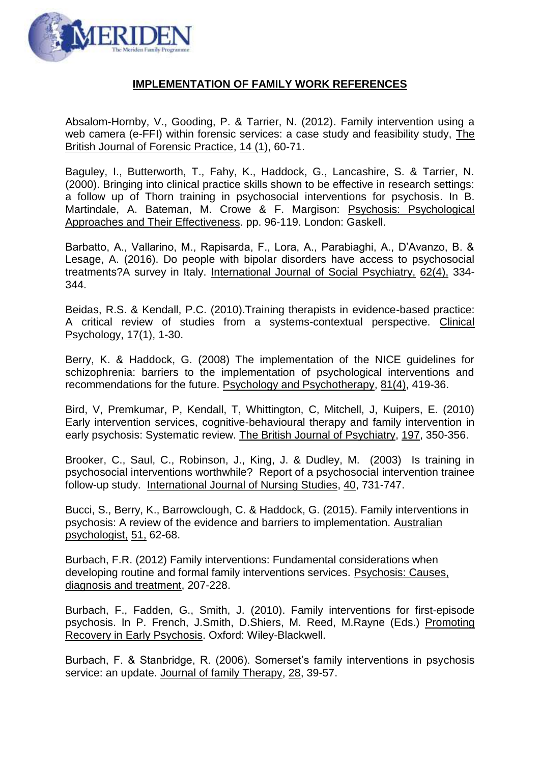

## **IMPLEMENTATION OF FAMILY WORK REFERENCES**

Absalom-Hornby, V., Gooding, P. & Tarrier, N. (2012). Family intervention using a web camera (e-FFI) within forensic services: a case study and feasibility study, The British Journal of Forensic Practice, 14 (1), 60-71.

Baguley, I., Butterworth, T., Fahy, K., Haddock, G., Lancashire, S. & Tarrier, N. (2000). Bringing into clinical practice skills shown to be effective in research settings: a follow up of Thorn training in psychosocial interventions for psychosis. In B. Martindale, A. Bateman, M. Crowe & F. Margison: Psychosis: Psychological Approaches and Their Effectiveness. pp. 96-119. London: Gaskell.

Barbatto, A., Vallarino, M., Rapisarda, F., Lora, A., Parabiaghi, A., D'Avanzo, B. & Lesage, A. (2016). Do people with bipolar disorders have access to psychosocial treatments?A survey in Italy. International Journal of Social Psychiatry, 62(4), 334- 344.

Beidas, R.S. & Kendall, P.C. (2010).Training therapists in evidence-based practice: A critical review of studies from a systems-contextual perspective. Clinical Psychology, 17(1), 1-30.

Berry, K. & Haddock, G. (2008) The implementation of the NICE guidelines for schizophrenia: barriers to the implementation of psychological interventions and recommendations for the future. Psychology and Psychotherapy, 81(4), 419-36.

Bird, V, Premkumar, P, Kendall, T, Whittington, C, Mitchell, J, Kuipers, E. (2010) [Early intervention services, cognitive-behavioural therapy and family intervention in](http://www.library.nhs.uk/hdas/resultdetail?ShowAbstracts=False&Database=bnj.ovi.psyh&Id=ovid.com%3A%2Fbib%2Fpsycdb%2F2011-22398-005&Search=9&PageNumber=1&PageSize=50&Index=16&SearchStrategyDisplay=1%20AND%207&SortBy=srt.unspecified&SimpleSearch=False&Clipboard=False&databases=bnj.ovi.psyh)  [early psychosis: Systematic review.](http://www.library.nhs.uk/hdas/resultdetail?ShowAbstracts=False&Database=bnj.ovi.psyh&Id=ovid.com%3A%2Fbib%2Fpsycdb%2F2011-22398-005&Search=9&PageNumber=1&PageSize=50&Index=16&SearchStrategyDisplay=1%20AND%207&SortBy=srt.unspecified&SimpleSearch=False&Clipboard=False&databases=bnj.ovi.psyh) The British Journal of Psychiatry, 197, 350-356.

Brooker, C., Saul, C., Robinson, J., King, J. & Dudley, M. (2003) Is training in psychosocial interventions worthwhile? Report of a psychosocial intervention trainee follow-up study. International Journal of Nursing Studies, 40, 731-747.

Bucci, S., Berry, K., Barrowclough, C. & Haddock, G. (2015). Family interventions in psychosis: A review of the evidence and barriers to implementation. Australian psychologist, 51, 62-68.

Burbach, F.R. (2012) Family interventions: Fundamental considerations when developing routine and formal family interventions services. Psychosis: Causes, diagnosis and treatment, 207-228.

Burbach, F., Fadden, G., Smith, J. (2010). Family interventions for first-episode psychosis. In P. French, J.Smith, D.Shiers, M. Reed, M.Rayne (Eds.) Promoting Recovery in Early Psychosis. Oxford: Wiley-Blackwell.

Burbach, F. & Stanbridge, R. (2006). Somerset's family interventions in psychosis service: an update. Journal of family Therapy, 28, 39-57.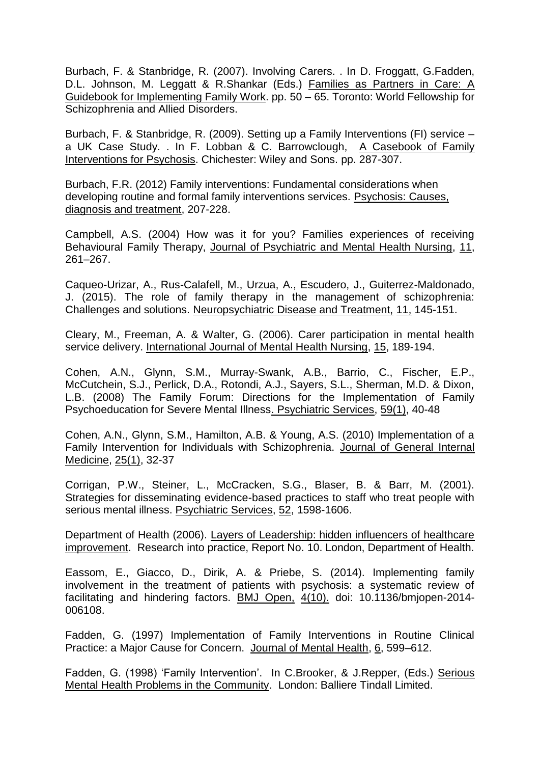Burbach, F. & Stanbridge, R. (2007). Involving Carers. . In D. Froggatt, G.Fadden, D.L. Johnson, M. Leggatt & R.Shankar (Eds.) Families as Partners in Care: A Guidebook for Implementing Family Work. pp. 50 – 65. Toronto: World Fellowship for Schizophrenia and Allied Disorders.

Burbach, F. & Stanbridge, R. (2009). Setting up a Family Interventions (FI) service – a UK Case Study. . In F. Lobban & C. Barrowclough, A Casebook of Family Interventions for Psychosis. Chichester: Wiley and Sons. pp. 287-307.

Burbach, F.R. (2012) Family interventions: Fundamental considerations when developing routine and formal family interventions services. Psychosis: Causes, diagnosis and treatment, 207-228.

Campbell, A.S. (2004) How was it for you? Families experiences of receiving Behavioural Family Therapy, Journal of Psychiatric and Mental Health Nursing, 11, 261–267.

Caqueo-Urizar, A., Rus-Calafell, M., Urzua, A., Escudero, J., Guiterrez-Maldonado, J. (2015). The role of family therapy in the management of schizophrenia: Challenges and solutions. Neuropsychiatric Disease and Treatment, 11, 145-151.

Cleary, M., Freeman, A. & Walter, G. (2006). Carer participation in mental health service delivery. International Journal of Mental Health Nursing, 15, 189-194.

Cohen, A.N., Glynn, S.M., Murray-Swank, A.B., Barrio, C., Fischer, E.P., McCutchein, S.J., Perlick, D.A., Rotondi, A.J., Sayers, S.L., Sherman, M.D. & Dixon, L.B. (2008) The Family Forum: Directions for the Implementation of Family Psychoeducation for Severe Mental Illness. Psychiatric Services, 59(1), 40-48

Cohen, A.N., Glynn, S.M., Hamilton, A.B. & Young, A.S. (2010) Implementation of a Family Intervention for Individuals with Schizophrenia. Journal of General Internal Medicine, 25(1), 32-37

Corrigan, P.W., Steiner, L., McCracken, S.G., Blaser, B. & Barr, M. (2001). Strategies for disseminating evidence-based practices to staff who treat people with serious mental illness. Psychiatric Services, 52, 1598-1606.

Department of Health (2006). Layers of Leadership: hidden influencers of healthcare improvement. Research into practice, Report No. 10. London, Department of Health.

Eassom, E., Giacco, D., Dirik, A. & Priebe, S. (2014). Implementing family involvement in the treatment of patients with psychosis: a systematic review of facilitating and hindering factors. BMJ Open, 4(10). doi: 10.1136/bmjopen-2014- 006108.

Fadden, G. (1997) Implementation of Family Interventions in Routine Clinical Practice: a Major Cause for Concern. Journal of Mental Health, 6, 599–612.

Fadden, G. (1998) 'Family Intervention'. In C.Brooker, & J.Repper, (Eds.) Serious Mental Health Problems in the Community.London: Balliere Tindall Limited.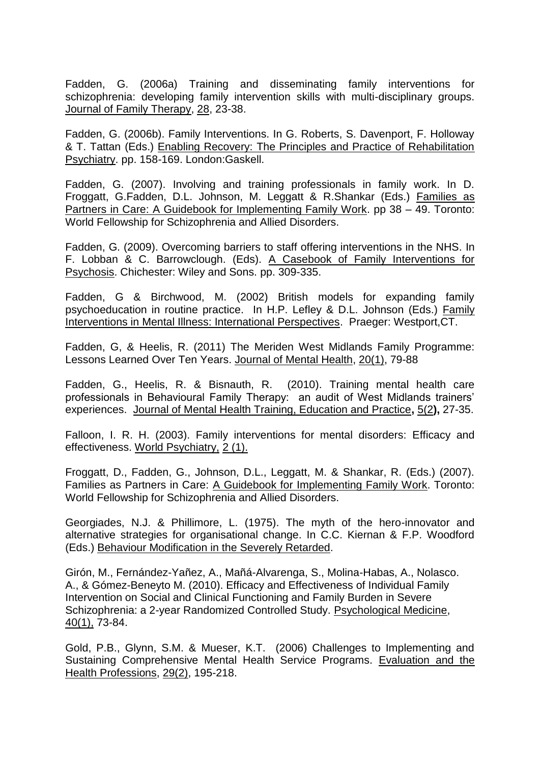Fadden, G. (2006a) Training and disseminating family interventions for schizophrenia: developing family intervention skills with multi-disciplinary groups. Journal of Family Therapy, 28, 23-38.

Fadden, G. (2006b). Family Interventions. In G. Roberts, S. Davenport, F. Holloway & T. Tattan (Eds.) Enabling Recovery: The Principles and Practice of Rehabilitation Psychiatry. pp. 158-169. London:Gaskell.

Fadden, G. (2007). Involving and training professionals in family work. In D. Froggatt, G.Fadden, D.L. Johnson, M. Leggatt & R.Shankar (Eds.) Families as Partners in Care: A Guidebook for Implementing Family Work. pp 38 – 49. Toronto: World Fellowship for Schizophrenia and Allied Disorders.

Fadden, G. (2009). Overcoming barriers to staff offering interventions in the NHS. In F. Lobban & C. Barrowclough. (Eds). A Casebook of Family Interventions for Psychosis. Chichester: Wiley and Sons. pp. 309-335.

Fadden, G & Birchwood, M. (2002) British models for expanding family psychoeducation in routine practice. In H.P. Lefley & D.L. Johnson (Eds.) Family Interventions in Mental Illness: International Perspectives. Praeger: Westport,CT.

Fadden, G, & Heelis, R. (2011) The Meriden West Midlands Family Programme: Lessons Learned Over Ten Years. Journal of Mental Health, 20(1), 79-88

Fadden, G., Heelis, R. & Bisnauth, R. (2010). Training mental health care professionals in Behavioural Family Therapy: an audit of West Midlands trainers' experiences. Journal of Mental Health Training, Education and Practice**,** 5(2**),** 27-35.

Falloon, I. R. H. (2003). Family interventions for mental disorders: Efficacy and effectiveness. World Psychiatry, 2 (1).

Froggatt, D., Fadden, G., Johnson, D.L., Leggatt, M. & Shankar, R. (Eds.) (2007). Families as Partners in Care: A Guidebook for Implementing Family Work. Toronto: World Fellowship for Schizophrenia and Allied Disorders.

Georgiades, N.J. & Phillimore, L. (1975). The myth of the hero-innovator and alternative strategies for organisational change. In C.C. Kiernan & F.P. Woodford (Eds.) Behaviour Modification in the Severely Retarded.

Girón, M., Fernández-Yañez, A., Mañá-Alvarenga, S., Molina-Habas, A., Nolasco. A., & Gómez-Beneyto M. (2010). Efficacy and Effectiveness of Individual Family Intervention on Social and Clinical Functioning and Family Burden in Severe Schizophrenia: a 2-year Randomized Controlled Study. Psychological Medicine, 40(1), 73-84.

Gold, P.B., Glynn, S.M. & Mueser, K.T. (2006) Challenges to Implementing and Sustaining Comprehensive Mental Health Service Programs. Evaluation and the Health Professions, 29(2), 195-218.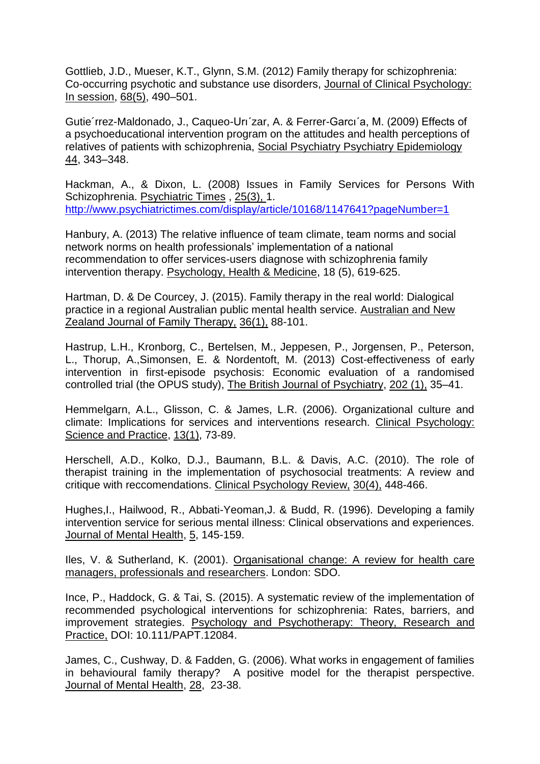Gottlieb, J.D., Mueser, K.T., Glynn, S.M. (2012) Family therapy for schizophrenia: Co-occurring psychotic and substance use disorders, Journal of Clinical Psychology: In session, 68(5), 490–501.

Gutie´rrez-Maldonado, J., Caqueo-Urı´zar, A. & Ferrer-Garcı´a, M. (2009) Effects of a psychoeducational intervention program on the attitudes and health perceptions of relatives of patients with schizophrenia, Social Psychiatry Psychiatry Epidemiology 44, 343–348.

Hackman, A., & Dixon, L. (2008) Issues in Family Services for Persons With Schizophrenia. Psychiatric Times , 25(3), 1. <http://www.psychiatrictimes.com/display/article/10168/1147641?pageNumber=1>

Hanbury, A. (2013) The relative influence of team climate, team norms and social network norms on health professionals' implementation of a national recommendation to offer services-users diagnose with schizophrenia family intervention therapy. Psychology, Health & Medicine, 18 (5), 619-625.

Hartman, D. & De Courcey, J. (2015). Family therapy in the real world: Dialogical practice in a regional Australian public mental health service. Australian and New Zealand Journal of Family Therapy, 36(1), 88-101.

Hastrup, L.H., Kronborg, C., Bertelsen, M., Jeppesen, P., Jorgensen, P., Peterson, L., Thorup, A.,Simonsen, E. & Nordentoft, M. (2013) Cost-effectiveness of early intervention in first-episode psychosis: Economic evaluation of a randomised controlled trial (the OPUS study), The British Journal of Psychiatry, 202 (1), 35–41.

Hemmelgarn, A.L., Glisson, C. & James, L.R. (2006). Organizational culture and climate: Implications for services and interventions research. Clinical Psychology: Science and Practice, 13(1), 73-89.

Herschell, A.D., Kolko, D.J., Baumann, B.L. & Davis, A.C. (2010). The role of therapist training in the implementation of psychosocial treatments: A review and critique with reccomendations. Clinical Psychology Review, 30(4), 448-466.

Hughes,I., Hailwood, R., Abbati-Yeoman,J. & Budd, R. (1996). Developing a family intervention service for serious mental illness: Clinical observations and experiences. Journal of Mental Health, 5, 145-159.

Iles, V. & Sutherland, K. (2001). Organisational change: A review for health care managers, professionals and researchers. London: SDO.

Ince, P., Haddock, G. & Tai, S. (2015). A systematic review of the implementation of recommended psychological interventions for schizophrenia: Rates, barriers, and improvement strategies. Psychology and Psychotherapy: Theory, Research and Practice, DOI: 10.111/PAPT.12084.

James, C., Cushway, D. & Fadden, G. (2006). What works in engagement of families in behavioural family therapy? A positive model for the therapist perspective. Journal of Mental Health, 28,23-38.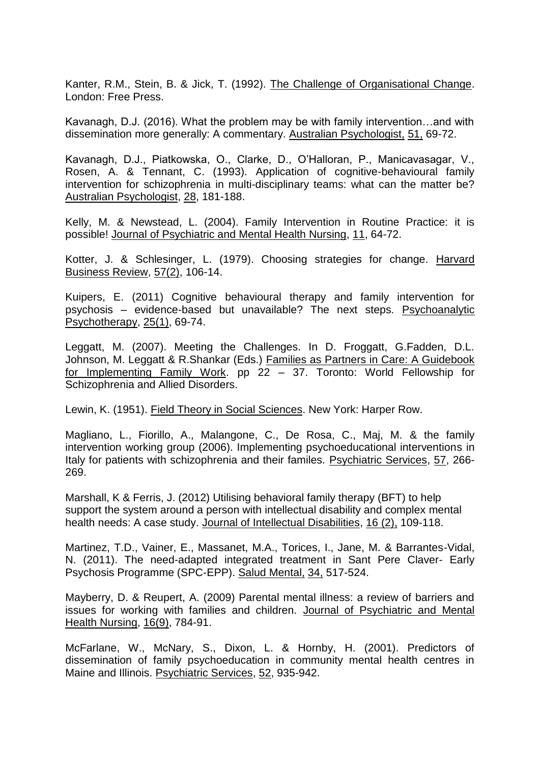Kanter, R.M., Stein, B. & Jick, T. (1992). The Challenge of Organisational Change. London: Free Press.

Kavanagh, D.J. (2016). What the problem may be with family intervention…and with dissemination more generally: A commentary. Australian Psychologist, 51, 69-72.

Kavanagh, D.J., Piatkowska, O., Clarke, D., O'Halloran, P., Manicavasagar, V., Rosen, A. & Tennant, C. (1993). Application of cognitive-behavioural family intervention for schizophrenia in multi-disciplinary teams: what can the matter be? Australian Psychologist, 28, 181-188.

Kelly, M. & Newstead, L. (2004). Family Intervention in Routine Practice: it is possible! Journal of Psychiatric and Mental Health Nursing, 11, 64-72.

Kotter, J. & Schlesinger, L. (1979). Choosing strategies for change. Harvard Business Review, 57(2), 106-14.

Kuipers, E. (2011) Cognitive behavioural therapy and family intervention for psychosis – evidence-based but unavailable? The next steps. Psychoanalytic Psychotherapy, 25(1), 69-74.

Leggatt, M. (2007). Meeting the Challenges. In D. Froggatt, G.Fadden, D.L. Johnson, M. Leggatt & R.Shankar (Eds.) Families as Partners in Care: A Guidebook for Implementing Family Work. pp 22 – 37. Toronto: World Fellowship for Schizophrenia and Allied Disorders.

Lewin, K. (1951). Field Theory in Social Sciences. New York: Harper Row.

Magliano, L., Fiorillo, A., Malangone, C., De Rosa, C., Maj, M. & the family intervention working group (2006). Implementing psychoeducational interventions in Italy for patients with schizophrenia and their familes. Psychiatric Services, 57, 266- 269.

Marshall, K & Ferris, J. (2012) Utilising behavioral family therapy (BFT) to help support the system around a person with intellectual disability and complex mental health needs: A case study. Journal of Intellectual Disabilities, 16 (2), 109-118.

Martinez, T.D., Vainer, E., Massanet, M.A., Torices, I., Jane, M. & Barrantes-Vidal, N. (2011). The need-adapted integrated treatment in Sant Pere Claver- Early Psychosis Programme (SPC-EPP). Salud Mental, 34, 517-524.

Mayberry, D. & Reupert, A. (2009) Parental mental illness: a review of barriers and issues for working with families and children. Journal of Psychiatric and Mental Health Nursing, 16(9), 784-91.

McFarlane, W., McNary, S., Dixon, L. & Hornby, H. (2001). Predictors of dissemination of family psychoeducation in community mental health centres in Maine and Illinois. Psychiatric Services, 52, 935-942.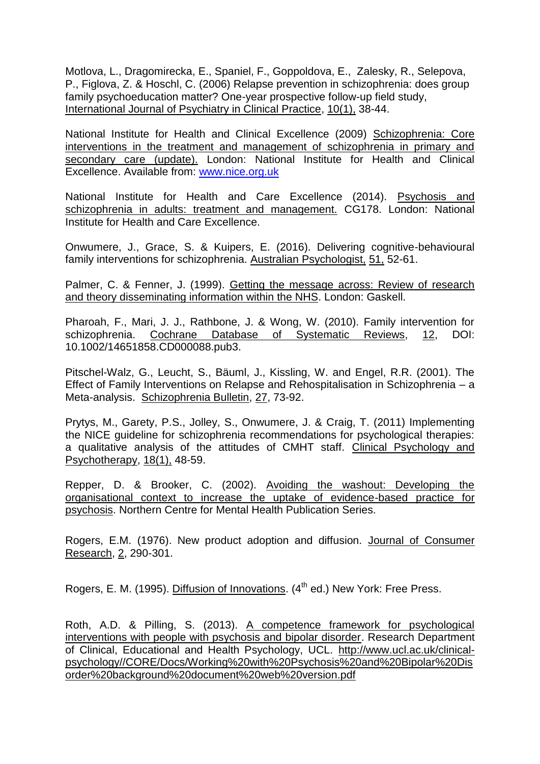Motlova, L., Dragomirecka, E., Spaniel, F., Goppoldova, E., Zalesky, R., Selepova, P., Figlova, Z. & Hoschl, C. (2006) Relapse prevention in schizophrenia: does group family psychoeducation matter? One-year prospective follow-up field study, International Journal of Psychiatry in Clinical Practice, 10(1), 38-44.

National Institute for Health and Clinical Excellence (2009) Schizophrenia: Core interventions in the treatment and management of schizophrenia in primary and secondary care (update). London: National Institute for Health and Clinical Excellence. Available from: [www.nice.org.uk](http://www.nice.org.uk/)

National Institute for Health and Care Excellence (2014). Psychosis and schizophrenia in adults: treatment and management. CG178. London: National Institute for Health and Care Excellence.

Onwumere, J., Grace, S. & Kuipers, E. (2016). Delivering cognitive-behavioural family interventions for schizophrenia. Australian Psychologist, 51, 52-61.

Palmer, C. & Fenner, J. (1999). Getting the message across: Review of research and theory disseminating information within the NHS. London: Gaskell.

Pharoah, F., Mari, J. J., Rathbone, J. & Wong, W. (2010). Family intervention for schizophrenia. Cochrane Database of Systematic Reviews, 12, DOI: 10.1002/14651858.CD000088.pub3.

Pitschel-Walz, G., Leucht, S., Bäuml, J., Kissling, W. and Engel, R.R. (2001). The Effect of Family Interventions on Relapse and Rehospitalisation in Schizophrenia – a Meta-analysis. Schizophrenia Bulletin, 27, 73-92.

Prytys, M., Garety, P.S., Jolley, S., Onwumere, J. & Craig, T. (2011) Implementing the NICE guideline for schizophrenia recommendations for psychological therapies: a qualitative analysis of the attitudes of CMHT staff. Clinical Psychology and Psychotherapy, 18(1), 48-59.

Repper, D. & Brooker, C. (2002). Avoiding the washout: Developing the organisational context to increase the uptake of evidence-based practice for psychosis. Northern Centre for Mental Health Publication Series.

Rogers, E.M. (1976). New product adoption and diffusion. Journal of Consumer Research, 2, 290-301.

Rogers, E. M. (1995). Diffusion of Innovations. (4<sup>th</sup> ed.) New York: Free Press.

Roth, A.D. & Pilling, S. (2013). A competence framework for psychological interventions with people with psychosis and bipolar disorder. Research Department of Clinical, Educational and Health Psychology, UCL. [http://www.ucl.ac.uk/clinical](http://www.ucl.ac.uk/clinical-psychology/CORE/Docs/Working%20with%20Psychosis%20and%20Bipolar%20Disorder%20background%20document%20web%20version.pdf)[psychology//CORE/Docs/Working%20with%20Psychosis%20and%20Bipolar%20Dis](http://www.ucl.ac.uk/clinical-psychology/CORE/Docs/Working%20with%20Psychosis%20and%20Bipolar%20Disorder%20background%20document%20web%20version.pdf) [order%20background%20document%20web%20version.pdf](http://www.ucl.ac.uk/clinical-psychology/CORE/Docs/Working%20with%20Psychosis%20and%20Bipolar%20Disorder%20background%20document%20web%20version.pdf)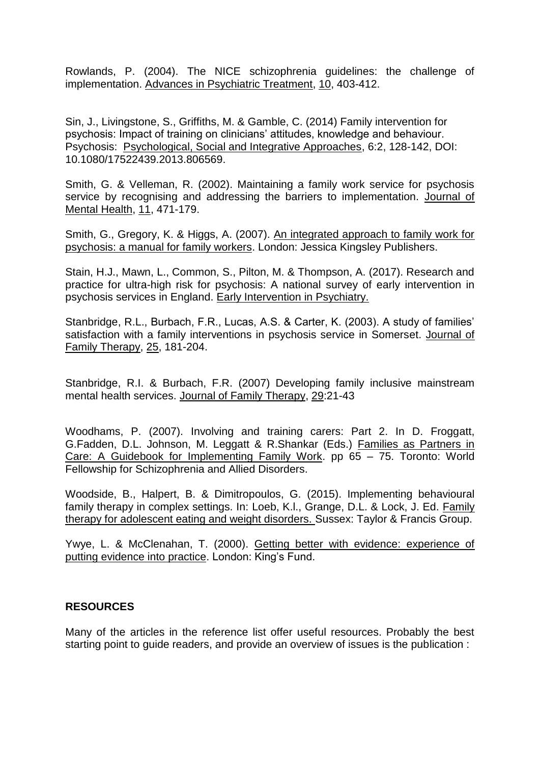Rowlands, P. (2004). The NICE schizophrenia guidelines: the challenge of implementation. Advances in Psychiatric Treatment, 10, 403-412.

Sin, J., Livingstone, S., Griffiths, M. & Gamble, C. (2014) Family intervention for psychosis: Impact of training on clinicians' attitudes, knowledge and behaviour. Psychosis: Psychological, Social and Integrative Approaches, 6:2, 128-142, DOI: 10.1080/17522439.2013.806569.

Smith, G. & Velleman, R. (2002). Maintaining a family work service for psychosis service by recognising and addressing the barriers to implementation. Journal of Mental Health, 11, 471-179.

Smith, G., Gregory, K. & Higgs, A. (2007). An integrated approach to family work for psychosis: a manual for family workers. London: Jessica Kingsley Publishers.

Stain, H.J., Mawn, L., Common, S., Pilton, M. & Thompson, A. (2017). Research and practice for ultra-high risk for psychosis: A national survey of early intervention in psychosis services in England. Early Intervention in Psychiatry.

Stanbridge, R.L., Burbach, F.R., Lucas, A.S. & Carter, K. (2003). A study of families' satisfaction with a family interventions in psychosis service in Somerset. Journal of Family Therapy, 25, 181-204.

Stanbridge, R.I. & Burbach, F.R. (2007) Developing family inclusive mainstream mental health services. Journal of Family Therapy, 29:21-43

Woodhams, P. (2007). Involving and training carers: Part 2. In D. Froggatt, G.Fadden, D.L. Johnson, M. Leggatt & R.Shankar (Eds.) Families as Partners in Care: A Guidebook for Implementing Family Work. pp 65 – 75. Toronto: World Fellowship for Schizophrenia and Allied Disorders.

Woodside, B., Halpert, B. & Dimitropoulos, G. (2015). Implementing behavioural family therapy in complex settings. In: Loeb, K.l., Grange, D.L. & Lock, J. Ed. Family therapy for adolescent eating and weight disorders. Sussex: Taylor & Francis Group.

Ywye, L. & McClenahan, T. (2000). Getting better with evidence: experience of putting evidence into practice. London: King's Fund.

## **RESOURCES**

Many of the articles in the reference list offer useful resources. Probably the best starting point to guide readers, and provide an overview of issues is the publication :